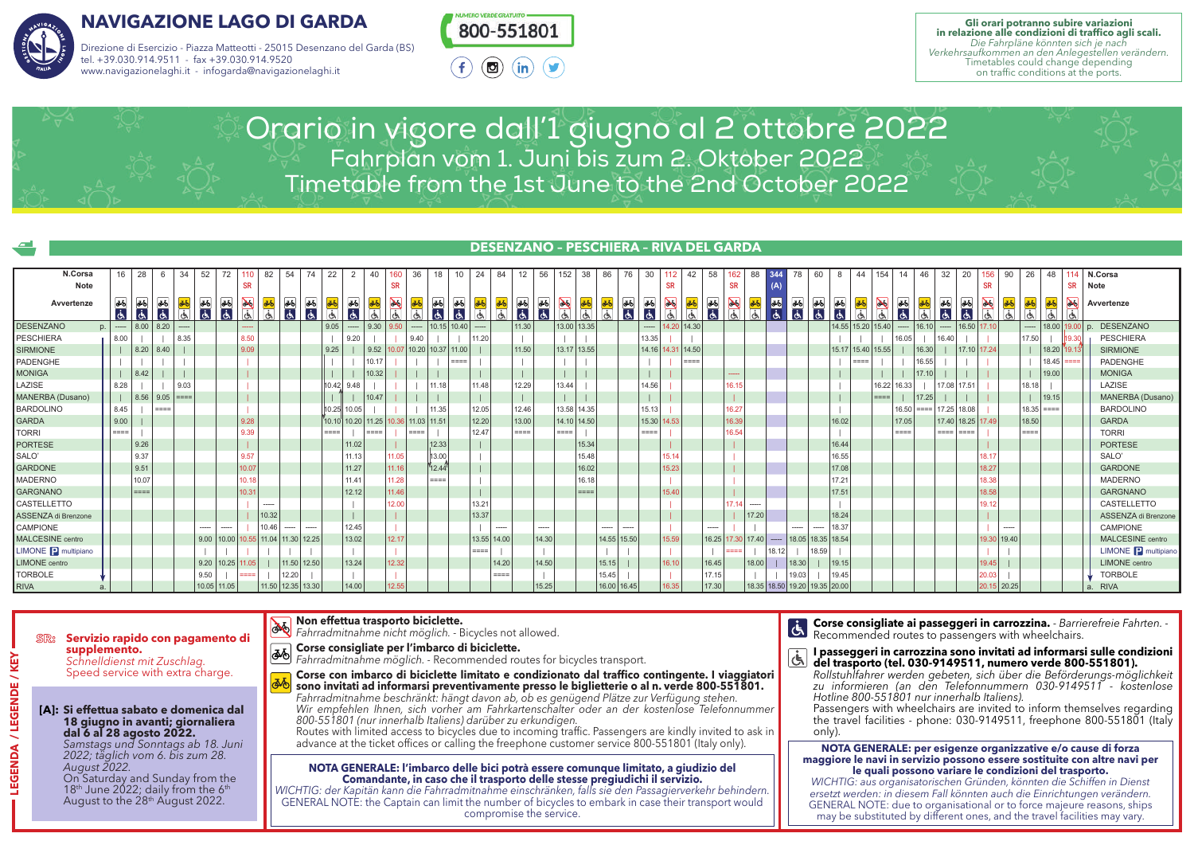

# **NAVIGAZIONE LAGO DI GARDA**

Direzione di Esercizio - Piazza Matteotti - 25015 Desenzano del Garda (BS) tel. +39.030.914.9511 - fax +39.030.914.9520 www.navigazionelaghi.it - infogarda@navigazionelaghi.it



**Gli orari potranno subire variazioni in relazione alle condizioni di traffico agli scali.** *Die Fahrpläne könnten sich je nach Verkehrsaufkommen an den Anlegestellen verändern.*  Timetables could change depending on traffic conditions at the ports.

Orario in vigore dall'1 giugno al 2 ottobre 2022 Fahrplan vom 1. Juni bis zum 2. Oktober 2022 Timetable from the 1st June to the 2nd October 2022

| $\sqrt{2}$                 |                      |                      |                   |      |                |       |                                    |       |                     |                 |                     |                            |                 |                  |                   |                         |                               | <b>DESENZANO - PESCHIERA - RIVA DEL GARDA</b> |                  |         |                         |           |             |                      |               |                       |             |       |                   |                          |                               |                   |       |                   |                     |                 |       |                               |               |             |          |                 |                          |      |                                |
|----------------------------|----------------------|----------------------|-------------------|------|----------------|-------|------------------------------------|-------|---------------------|-----------------|---------------------|----------------------------|-----------------|------------------|-------------------|-------------------------|-------------------------------|-----------------------------------------------|------------------|---------|-------------------------|-----------|-------------|----------------------|---------------|-----------------------|-------------|-------|-------------------|--------------------------|-------------------------------|-------------------|-------|-------------------|---------------------|-----------------|-------|-------------------------------|---------------|-------------|----------|-----------------|--------------------------|------|--------------------------------|
| N.Corsa                    | 16                   | 28                   |                   | -34  | 52             | 72    |                                    | 82    | 54                  |                 | 22                  |                            | 40              |                  | 36                | 18                      | 24                            | 84                                            | 12               | 56      | $152$ 38                |           | 86          |                      | 30            | 112                   | 42          | 58    | 162               | 88                       | 78                            | 60                |       | 44                | 154                 | 14              | 46    | 32                            | 20            | 156         | 26<br>90 | 48              |                          |      | N.Corsa                        |
| <b>Note</b>                |                      |                      |                   |      |                |       | <b>SR</b>                          |       |                     |                 |                     |                            |                 | <b>SR</b>        |                   |                         |                               |                                               |                  |         |                         |           |             |                      |               | <b>SR</b>             |             |       | <b>SR</b>         |                          |                               |                   |       |                   |                     |                 |       |                               |               | <b>SR</b>   |          |                 | <b>SR</b>                | Note |                                |
| Avvertenze                 | 36<br>$\overline{d}$ | 36<br>$\overline{a}$ | 36<br>$ \vec{a} $ | ۱Ğ   | 36 46          |       | ାଓ ।                               | ۱Ğ.   | 36 36               | $\partial \Phi$ | c.                  | கூ<br>$ \dot{\mathbf{d}} $ | 36<br>۱Ġ        | $\sum_{i=1}^{n}$ | ۱Ğ.               | 36<br>lds               | 36<br>$\overline{a}$<br>l C5. | Сħ,                                           | <b>میں</b><br>آج | 36<br>ं | $\sum_{i=1}^{n}$<br>1ch | 36<br> 61 | IG.         | ðб<br>$\overline{d}$ | <b>函</b><br>占 | $\sum_{i=1}^{n}$<br>し |             | 15    | $\geq$            | $\phi$<br>$\frac{1}{2}$  |                               | 36 36 36          |       |                   | $\frac{1}{2}$<br>G. | ⊛               | IGN.  | 函<br>点                        | க<br>ାଓ∖      | G.          | k        | あ<br>l Ch       | $\infty$                 |      | Avvertenze                     |
| <b>DESENZANO</b><br>p.     | -----                | 8.00                 | 8.20              |      |                |       | -----                              |       |                     |                 | 9.05                | -----                      | 9.30            | 9.50             | $\cdots$          | 10.15 10.40             |                               |                                               | 11.30            |         | 13.00 13.35             |           |             |                      | -----         | 14.20                 | 14.30       |       |                   |                          |                               |                   |       | 14.55 15.20 15.40 |                     | -----           | 16.10 | -----                         | $16.50$ 17.10 |             |          |                 | $-$   18.00   19.00   p. |      | <b>DESENZANO</b>               |
| <b>PESCHIERA</b>           | 8.00                 |                      |                   | 8.35 |                |       | 8.50                               |       |                     |                 |                     | 9.20                       |                 |                  | 9.40              |                         | 11.20                         |                                               |                  |         |                         |           |             |                      | 13.35         |                       |             |       |                   |                          |                               |                   |       |                   |                     | 16.05           |       | 16.40                         |               |             | 17.50    |                 |                          |      | <b>PESCHIERA</b>               |
| <b>SIRMIONE</b>            |                      | 8.20                 | 8.40              |      |                |       | 9.09                               |       |                     |                 | 9.25                |                            | 9.52            |                  |                   | 10.07 10.20 10.37 11.00 |                               |                                               | 11.50            |         | 13.17 13.55             |           |             |                      |               | 14.16 14.31 14.50     |             |       |                   |                          |                               |                   |       |                   | 15.17 15.40 15.55   |                 | 16.30 |                               | 17.10 17.24   |             |          |                 | 18.20                    |      | <b>SIRMIONE</b>                |
| PADENGHE                   |                      |                      |                   |      |                |       |                                    |       |                     |                 |                     |                            | 10.17           |                  |                   |                         | ====                          |                                               |                  |         |                         |           |             |                      |               |                       | $=$ $=$ $=$ |       |                   |                          |                               |                   |       | ====              |                     |                 | 16.55 |                               |               |             |          | 18.45           |                          |      | PADENGHE                       |
| <b>MONIGA</b>              |                      | 8.42                 |                   |      |                |       |                                    |       |                     |                 |                     |                            | 10.32           |                  |                   |                         |                               |                                               |                  |         |                         |           |             |                      |               |                       |             |       | -----             |                          |                               |                   |       |                   |                     |                 | 17.10 |                               |               |             |          | 19.00           |                          |      | <b>MONIGA</b>                  |
| LAZISE                     | 8.28                 |                      |                   | 9.03 |                |       |                                    |       |                     |                 | 10.42               | 9.48                       |                 |                  |                   | 11.18                   | 11.48                         |                                               | 12.29            |         | 13.44                   |           |             |                      | 14.56         |                       |             |       | 6.15              |                          |                               |                   |       |                   | 16.22               | 16.33           |       | 17.08                         | 17.51         |             | 18.18    |                 |                          |      | LAZISE                         |
| MANERBA (Dusano)           |                      |                      | $ 8.56 9.05  ==$  |      |                |       |                                    |       |                     |                 |                     |                            | 10.47           |                  |                   |                         |                               |                                               |                  |         |                         |           |             |                      |               |                       |             |       |                   |                          |                               |                   |       |                   | asse.               |                 | 17.25 |                               |               |             |          | 19.15           |                          |      | MANERBA (Dusano)               |
| <b>BARDOLINO</b>           | 8.45                 |                      | $=$ $=$ $=$ $=$   |      |                |       |                                    |       |                     |                 | 10.25 10.05         |                            |                 |                  |                   | 11.35                   | 12.05                         |                                               | 12.46            |         | 13.58 14.35             |           |             |                      | 15.13         |                       |             |       | 6.27              |                          |                               |                   |       |                   |                     |                 |       | $16.50$ = = =   17.25   18.08 |               |             |          | $18.35$ = = = = |                          |      | <b>BARDOLINO</b>               |
| <b>GARDA</b>               | 9.00                 |                      |                   |      |                |       | 9.28                               |       |                     |                 | $70.10$ 10.20 11.25 |                            |                 |                  | 10.36 11.03 11.51 |                         | 12.20                         |                                               | 13.00            |         | 14.10 14.50             |           |             |                      | 15.30 14.53   |                       |             |       | 16.39             |                          |                               |                   | 16.02 |                   |                     | 17.05           |       | 17.40 18.25 17.49             |               |             | 18.50    |                 |                          |      | <b>GARDA</b>                   |
| <b>TORRI</b>               | $=$ $=$ $=$ $=$      |                      |                   |      |                |       | 9.39                               |       |                     |                 | ====                |                            | $=$ $=$ $=$ $=$ |                  | $====$            |                         | 12.47                         |                                               | ====             |         | ====                    |           |             |                      | ====          |                       |             |       | 6.54              |                          |                               |                   |       |                   |                     | $=$ $=$ $=$ $=$ |       | ====   ====                   |               |             | ====     |                 |                          |      | <b>TORRI</b>                   |
| <b>PORTESE</b>             |                      | 9.26                 |                   |      |                |       |                                    |       |                     |                 |                     | 11.02                      |                 |                  |                   | 12.33                   |                               |                                               |                  |         |                         | 15.34     |             |                      |               |                       |             |       |                   |                          |                               |                   | 16.44 |                   |                     |                 |       |                               |               |             |          |                 |                          |      | <b>PORTESE</b>                 |
| SALO'                      |                      | 9.37                 |                   |      |                |       | 9.57                               |       |                     |                 |                     | 11.13                      |                 | 11.05            |                   | 13.00                   |                               |                                               |                  |         |                         | 15.48     |             |                      |               | 15.14                 |             |       |                   |                          |                               |                   | 16.55 |                   |                     |                 |       |                               |               | 18.17       |          |                 |                          |      | SALO'                          |
| <b>GARDONE</b>             |                      | 9.51                 |                   |      |                |       | 10.07                              |       |                     |                 |                     | 11.27                      |                 | 11.16            |                   | 12.44                   |                               |                                               |                  |         |                         | 16.02     |             |                      |               | 15.23                 |             |       |                   |                          |                               |                   | 17.08 |                   |                     |                 |       |                               |               | 18.27       |          |                 |                          |      | <b>GARDONE</b>                 |
| <b>MADERNO</b>             |                      | 10.07                |                   |      |                |       | 10.18                              |       |                     |                 |                     | 11.41                      |                 | 11.28            |                   | $=$ $=$ $=$ $=$         |                               |                                               |                  |         |                         | 16.18     |             |                      |               |                       |             |       |                   |                          |                               |                   | 17.21 |                   |                     |                 |       |                               |               | 18.38       |          |                 |                          |      | <b>MADERNO</b>                 |
| <b>GARGNANO</b>            |                      | $===$                |                   |      |                |       | 10.31                              |       |                     |                 |                     | 12.12                      |                 | 11.46            |                   |                         |                               |                                               |                  |         |                         | $= = = =$ |             |                      |               | 15.40                 |             |       |                   |                          |                               |                   | 17.51 |                   |                     |                 |       |                               |               | 18.58       |          |                 |                          |      | <b>GARGNANO</b>                |
| CASTELLETTO                |                      |                      |                   |      |                |       |                                    |       |                     |                 |                     |                            |                 | 12.00            |                   |                         | 13.21                         |                                               |                  |         |                         |           |             |                      |               |                       |             |       | $17.141$ .        | $\overline{\phantom{a}}$ |                               |                   |       |                   |                     |                 |       |                               |               | 19.12       |          |                 |                          |      | CASTELLETTO                    |
| ASSENZA di Brenzone        |                      |                      |                   |      |                |       |                                    | 10.32 |                     |                 |                     |                            |                 |                  |                   |                         | 13.37                         |                                               |                  |         |                         |           |             |                      |               |                       |             |       | 17.20             |                          |                               |                   | 18.24 |                   |                     |                 |       |                               |               |             |          |                 |                          |      | ASSENZA di Brenzone            |
| CAMPIONE                   |                      |                      |                   |      |                | ----- |                                    | 10.46 |                     |                 |                     | 12.45                      |                 |                  |                   |                         |                               | ---                                           |                  |         |                         |           |             |                      |               |                       |             |       |                   |                          | ----                          |                   | 18.37 |                   |                     |                 |       |                               |               |             |          |                 |                          |      | CAMPIONE                       |
| <b>MALCESINE</b> centro    |                      |                      |                   |      |                |       | 9.00 10.00 10.55 11.04 11.30 12.25 |       |                     |                 |                     | 13.02                      |                 | 12.17            |                   |                         |                               | 13.55 14.00                                   |                  | 14.30   |                         |           | 14.55 15.50 |                      |               | 15.59                 |             |       | 16.25 17.30 17.40 | $---$                    |                               | 18.05 18.35 18.54 |       |                   |                     |                 |       |                               |               | 19.30 19.40 |          |                 |                          |      | MALCESINE centro               |
| LIMONE <b>P</b> multipiano |                      |                      |                   |      |                |       |                                    |       |                     |                 |                     |                            |                 |                  |                   |                         | ====                          |                                               |                  |         |                         |           |             |                      |               |                       |             |       | ----              | 18.12                    |                               | 18.59             |       |                   |                     |                 |       |                               |               |             |          |                 |                          |      | LIMONE <sup>n</sup> multipiano |
| LIMONE centro              |                      |                      |                   |      | $9.20$   10.25 |       | 11.05                              |       | 11.50 12.50         |                 |                     | 13.24                      |                 | 12.32            |                   |                         |                               | 14.20                                         |                  | 14.50   |                         |           | 15.15       |                      |               | 16.10                 |             | 16.45 |                   | 18.00                    | 18.30                         |                   | 19.15 |                   |                     |                 |       |                               |               | 19.45       |          |                 |                          |      | <b>LIMONE</b> centro           |
| <b>TORBOLE</b>             |                      |                      |                   |      | 9.50           |       | ====                               |       | 12.20               |                 |                     |                            |                 |                  |                   |                         |                               | $====$                                        |                  |         |                         |           | 15.45       |                      |               |                       |             | 17.15 |                   |                          | 19.03                         |                   | 19.45 |                   |                     |                 |       |                               |               | 20.03       |          |                 |                          |      | <b>TORBOLE</b>                 |
| <b>RIVA</b>                |                      |                      |                   |      | 10.05 11.05    |       |                                    |       | $11.50$ 12.35 13.30 |                 |                     | 14.00                      |                 | 12.55            |                   |                         |                               |                                               |                  | 15.25   |                         |           | 16.00 16.45 |                      |               | 16.35                 |             | 17.30 |                   |                          | 18.35 18.50 19.20 19.35 20.00 |                   |       |                   |                     |                 |       |                               |               | 20.15 20.25 |          |                 |                          |      | <b>RIVA</b>                    |

## **SR: Servizio rapido con pagamento di supplemento.**  *Schnelldienst mit Zuschlag.*

Speed service with extra charge.

### **[A]: Si effettua sabato e domenica dal 18 giugno in avanti; giornaliera dal 6 al 28 agosto 2022.**

*Samstags und Sonntags ab 18. Juni 2022; täglich vom 6. bis zum 28. August 2022.*

On Saturday and Sunday from the  $18<sup>th</sup>$  June 2022; daily from the 6<sup>th</sup> August to the 28<sup>th</sup> August 2022.

# **Non effettua trasporto biciclette.**

*Fahrradmitnahme nicht möglich. -* Bicycles not allowed.

- **Corse consigliate per l'imbarco di biciclette.**
- *Fahrradmitnahme möglich.*  Recommended routes for bicycles transport.
- Speed service with extra charge. The **Corse con imbarco di biciclette limitato e condizionato dal traffico contingente. I viaggiatori Rollstuhlfahrer werden gebeten, sich über die Beförderungssono invitati ad informarsi preventivamente presso le biglietterie o al n. verde 800-551801.**<br>Fahrradmitnahme beschränkt: hängt davon ab, ob es genügend Plätze zur Verfügung stehen. *Wir empfehlen Ihnen, sich vorher am Fahrkartenschalter oder an der kostenlose Telefonnummer* TORBOLE INTERNATION INVITATI AD INTOTITIZITY INTERNATIONAL INTERNATIONAL INTERNATIONAL INTERNATIONAL INTERNATIONAL INTERNATIONAL INTERNATIONAL INTERNATIONAL INTERNATIONAL INTERNATIONAL INTERNATIONAL INTERNATIONAL INTERNATI  $\epsilon$  and the state of the state of the state and the second state and the state of the state of the state of the state of the state of the state of the state of the state of the state of the state of the state of the stat **LAI: Si effettua sabato e domenica dal** il *intemprenien innen, sich vorner am fantkartenschalter oder an der kosteniose leieronnummer* i Passengers with wheelchairs are invited to inform themselves regarding

*800-551801 (nur innerhalb Italiens) darüber zu erkundigen.* Routes with limited access to bicycles due to incoming traffic. Passengers are kindly invited to ask in advance at the ticket offices or calling the freephone customer service 800-551801 (Italy only). Mache**s 2.0 Surgine in avanti; giornaliera** and oversident *allemand italiens) daruber zu erkundigen.* And the second the travel latitudes - phone: USU-7147311, ifeephone oversident (ital  $\zeta$  and a zo agosto zuzz.  $\zeta$  and  $\zeta$  is a set of the control access to bicycles due to incoming trainc. Fassengers are kindly invited to ask in  $\zeta$  only).

### , August 2022. **Il accept della CENERALE: l'imbarco delle bici potrà essere comunque limitato, a giudizio del le leguali possono variare le condizioni del trasporto. Il accepto del l'accepto del trasporto. Il accepto del t Comandante, in caso che il trasporto delle stesse pregiudichi il servizio.**

18th Mune 2022; daily from the 6th and WICHTIG: der Kapitän kann die Fahrradmitnahme einschränken, falls sie den Passagierverkehr behindern. | | ersetzt werden: in diesem Fall könnten auch die Einrichtungen verände GENERAL NOTE: the Captain can limit the number of bicycles to embark in case their transport would compromise the service. may be substituted by different ones, and the travel facilities may vary.<br>Compromise the service.<br>Compromise the service. COMPROMISE THE SERVICE. The compromise that is service. The compromise that is service. The compromise that is expected by different ones, and the travel facilities may vari

TORRI ----- ----- | ----- | ----- | 11.45 ----- ----- | ----- | 16.15 ----- | ----- ----- | 18.20 | ----- TORRI

Servizio rapido con pagamento di **transferre di consideration** con pagamento di di Fahrradmitnahme nicht möglich. - Bicycles not allowed.

- **I passeggeri in carrozzina sono invitati ad informarsi sulle condizioni of the supplements.**<br>Schnelldienst mit Zuschlag. **Supplement of the Conference Avverter Avvertises of the Schnelldienst mit Zuschlag. <b>Schnelldienst mit Zuschlag. Avverte 800-551801). Avvertises on the Conference Avv** 
	- *Rollstuhlfahrer werden gebeten, sich über die Beförderungs-möglichkeit zu informieren (an den Telefonnummern 030-9149511 - kostenlose Hotline 800-551801 nur innerhalb Italiens).*

Passengers with wheelchairs are invited to inform themselves regarding the travel facilities - phone: 030-9149511, freephone 800-551801 (Italy only).

#### **NOTA GENERALE: per esigenze organizzative e/o cause di forza maggiore le navi in servizio possono essere sostituite con altre navi per le navi per le navi per le navi per le navi per le navi per le navi per le navi per le navi per le navi per le navi per le navi per le navi per le le quali possono variare le condizioni del trasporto.** Compariso the North Brenzon Comparison of the International Comparison Calling the neephone customer service out-551601 (haly only). The NOTA GENERALE: per esigenze organizzative e/o cause di forza

**WICHTIG: aus organisatorischen Gründen, könnten die Schiffen in Dienst Literatorischen Gründen, könnten die Schiffen in Dienst aus organisatorischen Gründen, könnten die Schiffen in Dienst** *ersetzt werden: in diesem Fall könnten auch die Einrichtungen verändern.* GENERAL NOTE: due to organisational or to force majeure reasons, ships